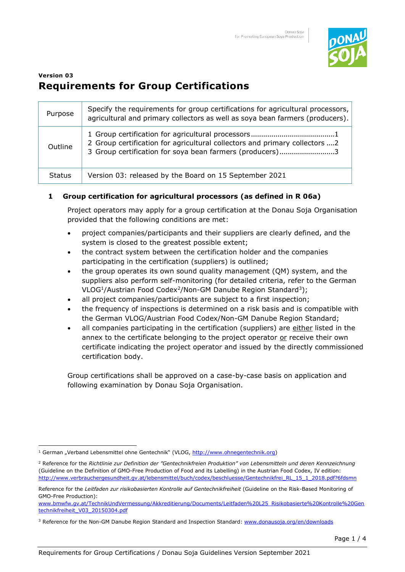

# **Version 03 Requirements for Group Certifications**

| Purpose       | Specify the requirements for group certifications for agricultural processors,<br>agricultural and primary collectors as well as soya bean farmers (producers). |
|---------------|-----------------------------------------------------------------------------------------------------------------------------------------------------------------|
| Outline       | 2 Group certification for agricultural collectors and primary collectors  2<br>3 Group certification for soya bean farmers (producers)3                         |
| <b>Status</b> | Version 03: released by the Board on 15 September 2021                                                                                                          |

#### **1 Group certification for agricultural processors (as defined in R 06a)**

Project operators may apply for a group certification at the Donau Soja Organisation provided that the following conditions are met:

- project companies/participants and their suppliers are clearly defined, and the system is closed to the greatest possible extent;
- the contract system between the certification holder and the companies participating in the certification (suppliers) is outlined;
- the group operates its own sound quality management (QM) system, and the suppliers also perform self-monitoring (for detailed criteria, refer to the German VLOG<sup>1</sup>/Austrian Food Codex<sup>2</sup>/Non-GM Danube Region Standard<sup>3</sup>);
- all project companies/participants are subject to a first inspection;
- the frequency of inspections is determined on a risk basis and is compatible with the German VLOG/Austrian Food Codex/Non-GM Danube Region Standard;
- all companies participating in the certification (suppliers) are either listed in the annex to the certificate belonging to the project operator or receive their own certificate indicating the project operator and issued by the directly commissioned certification body.

Group certifications shall be approved on a case-by-case basis on application and following examination by Donau Soja Organisation.

<sup>&</sup>lt;sup>1</sup> German "Verband Lebensmittel ohne Gentechnik" (VLOG, http://www.ohnegentechnik.org)

<sup>2</sup> Reference for the *Richtlinie zur Definition der "Gentechnikfreien Produktion" von Lebensmitteln und deren Kennzeichnung* (Guideline on the Definition of GMO-Free Production of Food and its Labelling) in the Austrian Food Codex, IV edition: http://www.verbrauchergesundheit.gv.at/lebensmittel/buch/codex/beschluesse/Gentechnikfrei\_RL\_15\_1\_2018.pdf?6fdsmn

Reference for the *Leitfaden zur risikobasierten Kontrolle auf Gentechnikfreiheit* (Guideline on the Risk-Based Monitoring of GMO-Free Production):

[www.bmwfw.gv.at/TechnikUndVermessung/Akkreditierung/Documents/Leitfaden%20L25\\_Risikobasierte%20Kontrolle%20Gen](http://www.bmwfw.gv.at/TechnikUndVermessung/Akkreditierung/Documents/Leitfaden%20L25_Risikobasierte%20Kontrolle%20Gentechnikfreiheit_V03_20150304.pdf) [technikfreiheit\\_V03\\_20150304.pdf](http://www.bmwfw.gv.at/TechnikUndVermessung/Akkreditierung/Documents/Leitfaden%20L25_Risikobasierte%20Kontrolle%20Gentechnikfreiheit_V03_20150304.pdf)

<sup>&</sup>lt;sup>3</sup> Reference for the Non-GM Danube Region Standard and Inspection Standard: [www.donausoja.org/en/downloads](http://www.donausoja.org/en/downloads)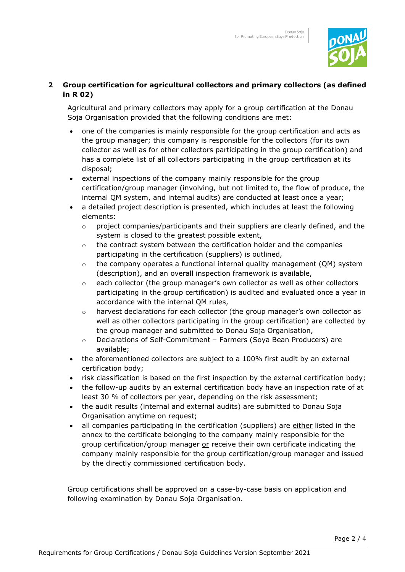

### **2 Group certification for agricultural collectors and primary collectors (as defined in R 02)**

Agricultural and primary collectors may apply for a group certification at the Donau Soja Organisation provided that the following conditions are met:

- one of the companies is mainly responsible for the group certification and acts as the group manager; this company is responsible for the collectors (for its own collector as well as for other collectors participating in the group certification) and has a complete list of all collectors participating in the group certification at its disposal;
- external inspections of the company mainly responsible for the group certification/group manager (involving, but not limited to, the flow of produce, the internal QM system, and internal audits) are conducted at least once a year;
- a detailed project description is presented, which includes at least the following elements:
	- $\circ$  project companies/participants and their suppliers are clearly defined, and the system is closed to the greatest possible extent,
	- $\circ$  the contract system between the certification holder and the companies participating in the certification (suppliers) is outlined,
	- o the company operates a functional internal quality management (QM) system (description), and an overall inspection framework is available,
	- $\circ$  each collector (the group manager's own collector as well as other collectors participating in the group certification) is audited and evaluated once a year in accordance with the internal QM rules,
	- o harvest declarations for each collector (the group manager's own collector as well as other collectors participating in the group certification) are collected by the group manager and submitted to Donau Soja Organisation,
	- o Declarations of Self-Commitment Farmers (Soya Bean Producers) are available;
- the aforementioned collectors are subject to a 100% first audit by an external certification body;
- risk classification is based on the first inspection by the external certification body;
- the follow-up audits by an external certification body have an inspection rate of at least 30 % of collectors per year, depending on the risk assessment;
- the audit results (internal and external audits) are submitted to Donau Soja Organisation anytime on request;
- all companies participating in the certification (suppliers) are either listed in the annex to the certificate belonging to the company mainly responsible for the group certification/group manager or receive their own certificate indicating the company mainly responsible for the group certification/group manager and issued by the directly commissioned certification body.

Group certifications shall be approved on a case-by-case basis on application and following examination by Donau Soja Organisation.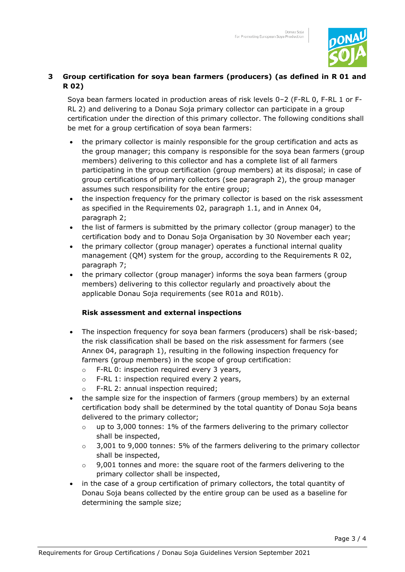

## **3 Group certification for soya bean farmers (producers) (as defined in R 01 and R 02)**

Soya bean farmers located in production areas of risk levels 0–2 (F-RL 0, F-RL 1 or F-RL 2) and delivering to a Donau Soja primary collector can participate in a group certification under the direction of this primary collector. The following conditions shall be met for a group certification of soya bean farmers:

- the primary collector is mainly responsible for the group certification and acts as the group manager; this company is responsible for the soya bean farmers (group members) delivering to this collector and has a complete list of all farmers participating in the group certification (group members) at its disposal; in case of group certifications of primary collectors (see paragraph 2), the group manager assumes such responsibility for the entire group;
- the inspection frequency for the primary collector is based on the risk assessment as specified in the Requirements 02, paragraph 1.1, and in Annex 04, paragraph 2;
- the list of farmers is submitted by the primary collector (group manager) to the certification body and to Donau Soja Organisation by 30 November each year;
- the primary collector (group manager) operates a functional internal quality management (QM) system for the group, according to the Requirements R 02, paragraph 7;
- the primary collector (group manager) informs the soya bean farmers (group members) delivering to this collector regularly and proactively about the applicable Donau Soja requirements (see R01a and R01b).

#### **Risk assessment and external inspections**

- The inspection frequency for soya bean farmers (producers) shall be risk-based; the risk classification shall be based on the risk assessment for farmers (see Annex 04, paragraph 1), resulting in the following inspection frequency for farmers (group members) in the scope of group certification:
	- o F-RL 0: inspection required every 3 years,
	- o F-RL 1: inspection required every 2 years,
	- o F-RL 2: annual inspection required;
- the sample size for the inspection of farmers (group members) by an external certification body shall be determined by the total quantity of Donau Soja beans delivered to the primary collector;
	- $\circ$  up to 3,000 tonnes: 1% of the farmers delivering to the primary collector shall be inspected,
	- $\circ$  3,001 to 9,000 tonnes: 5% of the farmers delivering to the primary collector shall be inspected,
	- $\circ$  9,001 tonnes and more: the square root of the farmers delivering to the primary collector shall be inspected,
- in the case of a group certification of primary collectors, the total quantity of Donau Soja beans collected by the entire group can be used as a baseline for determining the sample size;